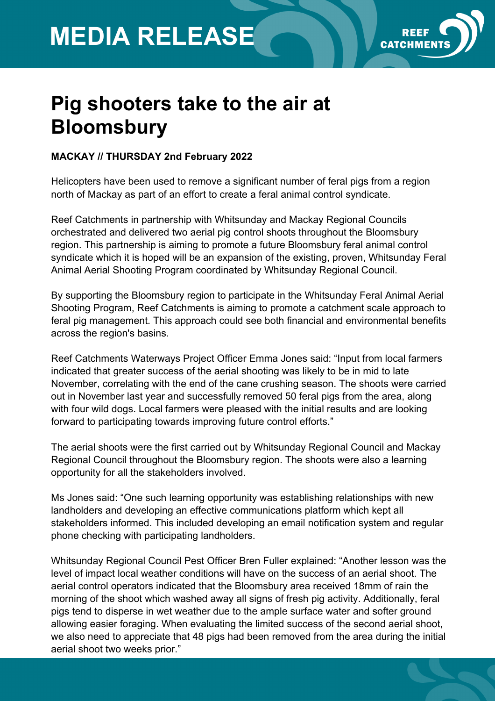## **MEDIA RELEASE**



## **Pig shooters take to the air at Bloomsbury**

## **MACKAY // THURSDAY 2nd February 2022**

Helicopters have been used to remove a significant number of feral pigs from a region north of Mackay as part of an effort to create a feral animal control syndicate.

Reef Catchments in partnership with Whitsunday and Mackay Regional Councils orchestrated and delivered two aerial pig control shoots throughout the Bloomsbury region. This partnership is aiming to promote a future Bloomsbury feral animal control syndicate which it is hoped will be an expansion of the existing, proven, Whitsunday Feral Animal Aerial Shooting Program coordinated by Whitsunday Regional Council.

By supporting the Bloomsbury region to participate in the Whitsunday Feral Animal Aerial Shooting Program, Reef Catchments is aiming to promote a catchment scale approach to feral pig management. This approach could see both financial and environmental benefits across the region's basins.

Reef Catchments Waterways Project Officer Emma Jones said: "Input from local farmers indicated that greater success of the aerial shooting was likely to be in mid to late November, correlating with the end of the cane crushing season. The shoots were carried out in November last year and successfully removed 50 feral pigs from the area, along with four wild dogs. Local farmers were pleased with the initial results and are looking forward to participating towards improving future control efforts."

The aerial shoots were the first carried out by Whitsunday Regional Council and Mackay Regional Council throughout the Bloomsbury region. The shoots were also a learning opportunity for all the stakeholders involved.

Ms Jones said: "One such learning opportunity was establishing relationships with new landholders and developing an effective communications platform which kept all stakeholders informed. This included developing an email notification system and regular phone checking with participating landholders.

Whitsunday Regional Council Pest Officer Bren Fuller explained: "Another lesson was the level of impact local weather conditions will have on the success of an aerial shoot. The aerial control operators indicated that the Bloomsbury area received 18mm of rain the morning of the shoot which washed away all signs of fresh pig activity. Additionally, feral pigs tend to disperse in wet weather due to the ample surface water and softer ground allowing easier foraging. When evaluating the limited success of the second aerial shoot, we also need to appreciate that 48 pigs had been removed from the area during the initial aerial shoot two weeks prior."